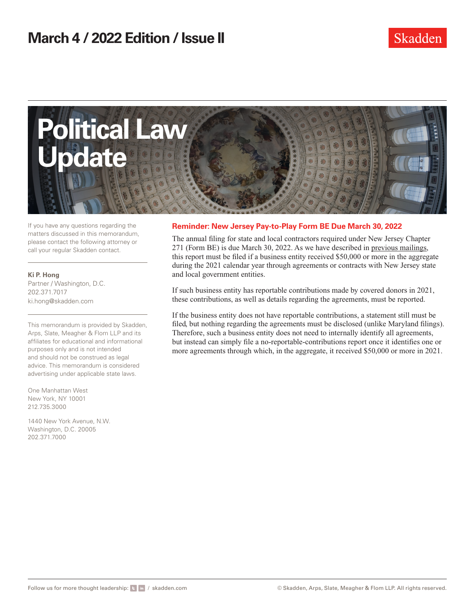

If you have any questions regarding the matters discussed in this memorandum, please contact the following attorney or call your regular Skadden contact.

**Ki P. Hong** Partner / Washington, D.C. 202.371.7017 ki.hong@skadden.com

This memorandum is provided by Skadden, Arps, Slate, Meagher & Flom LLP and its affiliates for educational and informational purposes only and is not intended and should not be construed as legal advice. This memorandum is considered advertising under applicable state laws.

One Manhattan West New York, NY 10001 212.735.3000

1440 New York Avenue, N.W. Washington, D.C. 20005 202.371.7000

## **Reminder: New Jersey Pay-to-Play Form BE Due March 30, 2022**

The annual filing for state and local contractors required under New Jersey Chapter 271 (Form BE) is due March 30, 2022. As we have described in [previous mailings](https://www.skadden.com/insights/publications/2022/02/political-contribution-disclosure-rules-in-illinois-maryland-new-jersey-pennsylvania), this report must be filed if a business entity received \$50,000 or more in the aggregate during the 2021 calendar year through agreements or contracts with New Jersey state and local government entities.

If such business entity has reportable contributions made by covered donors in 2021, these contributions, as well as details regarding the agreements, must be reported.

If the business entity does not have reportable contributions, a statement still must be filed, but nothing regarding the agreements must be disclosed (unlike Maryland filings). Therefore, such a business entity does not need to internally identify all agreements, but instead can simply file a no-reportable-contributions report once it identifies one or more agreements through which, in the aggregate, it received \$50,000 or more in 2021.